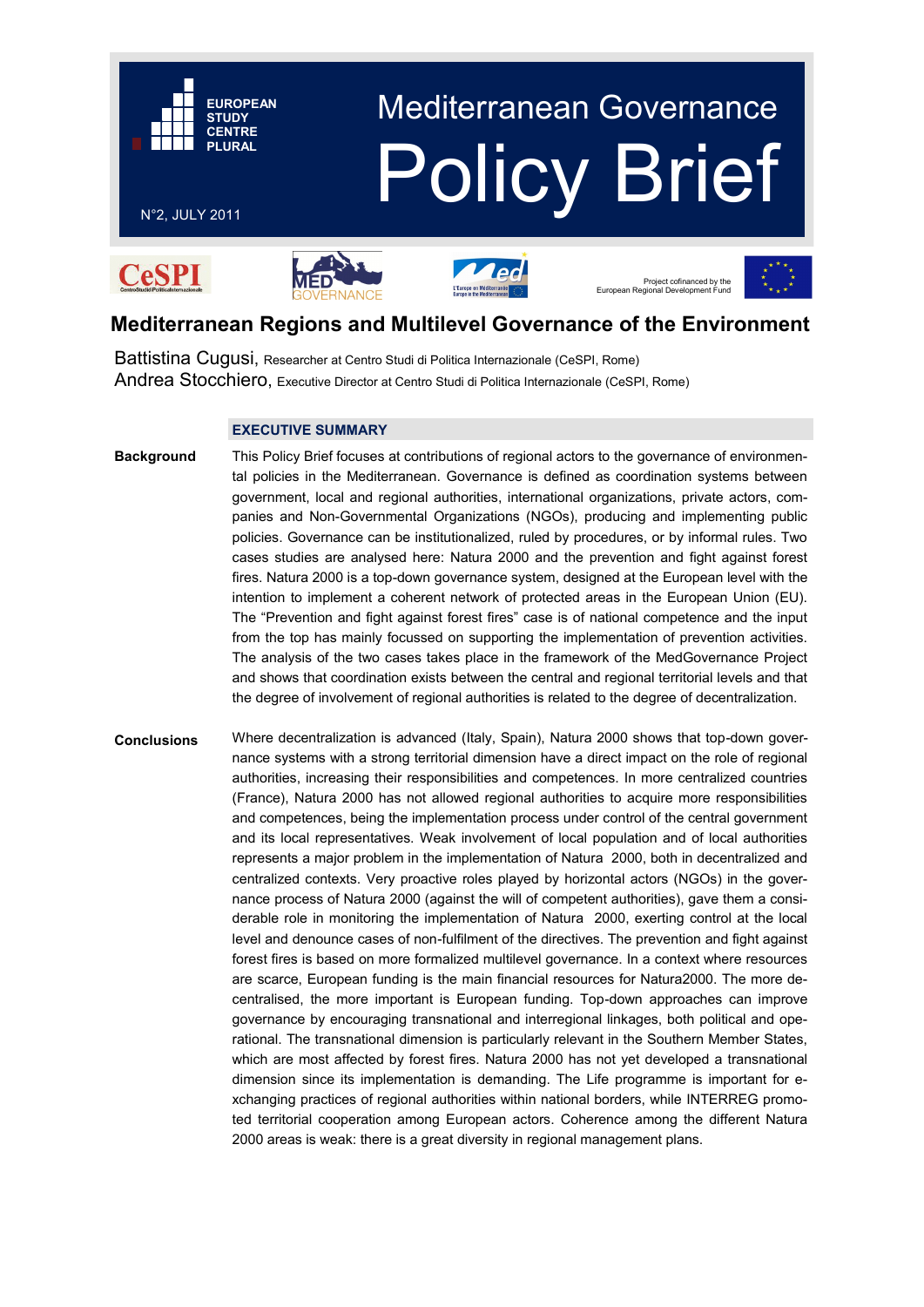

# **Mediterranean Regions and Multilevel Governance of the Environment**

Battistina Cugusi, Researcher at Centro Studi di Politica Internazionale (CeSPI, Rome) Andrea Stocchiero, Executive Director at Centro Studi di Politica Internazionale (CeSPI, Rome)

## **EXECUTIVE SUMMARY**

This Policy Brief focuses at contributions of regional actors to the governance of environmental policies in the Mediterranean. Governance is defined as coordination systems between government, local and regional authorities, international organizations, private actors, companies and Non-Governmental Organizations (NGOs), producing and implementing public policies. Governance can be institutionalized, ruled by procedures, or by informal rules. Two cases studies are analysed here: Natura 2000 and the prevention and fight against forest fires. Natura 2000 is a top-down governance system, designed at the European level with the intention to implement a coherent network of protected areas in the European Union (EU). The "Prevention and fight against forest fires" case is of national competence and the input from the top has mainly focussed on supporting the implementation of prevention activities. The analysis of the two cases takes place in the framework of the MedGovernance Project and shows that coordination exists between the central and regional territorial levels and that the degree of involvement of regional authorities is related to the degree of decentralization. **Background**

Where decentralization is advanced (Italy, Spain), Natura 2000 shows that top-down governance systems with a strong territorial dimension have a direct impact on the role of regional authorities, increasing their responsibilities and competences. In more centralized countries (France), Natura 2000 has not allowed regional authorities to acquire more responsibilities and competences, being the implementation process under control of the central government and its local representatives. Weak involvement of local population and of local authorities represents a major problem in the implementation of Natura 2000, both in decentralized and centralized contexts. Very proactive roles played by horizontal actors (NGOs) in the governance process of Natura 2000 (against the will of competent authorities), gave them a considerable role in monitoring the implementation of Natura 2000, exerting control at the local level and denounce cases of non-fulfilment of the directives. The prevention and fight against forest fires is based on more formalized multilevel governance. In a context where resources are scarce, European funding is the main financial resources for Natura2000. The more decentralised, the more important is European funding. Top-down approaches can improve governance by encouraging transnational and interregional linkages, both political and operational. The transnational dimension is particularly relevant in the Southern Member States, which are most affected by forest fires. Natura 2000 has not yet developed a transnational dimension since its implementation is demanding. The Life programme is important for exchanging practices of regional authorities within national borders, while INTERREG promoted territorial cooperation among European actors. Coherence among the different Natura 2000 areas is weak: there is a great diversity in regional management plans. **Conclusions**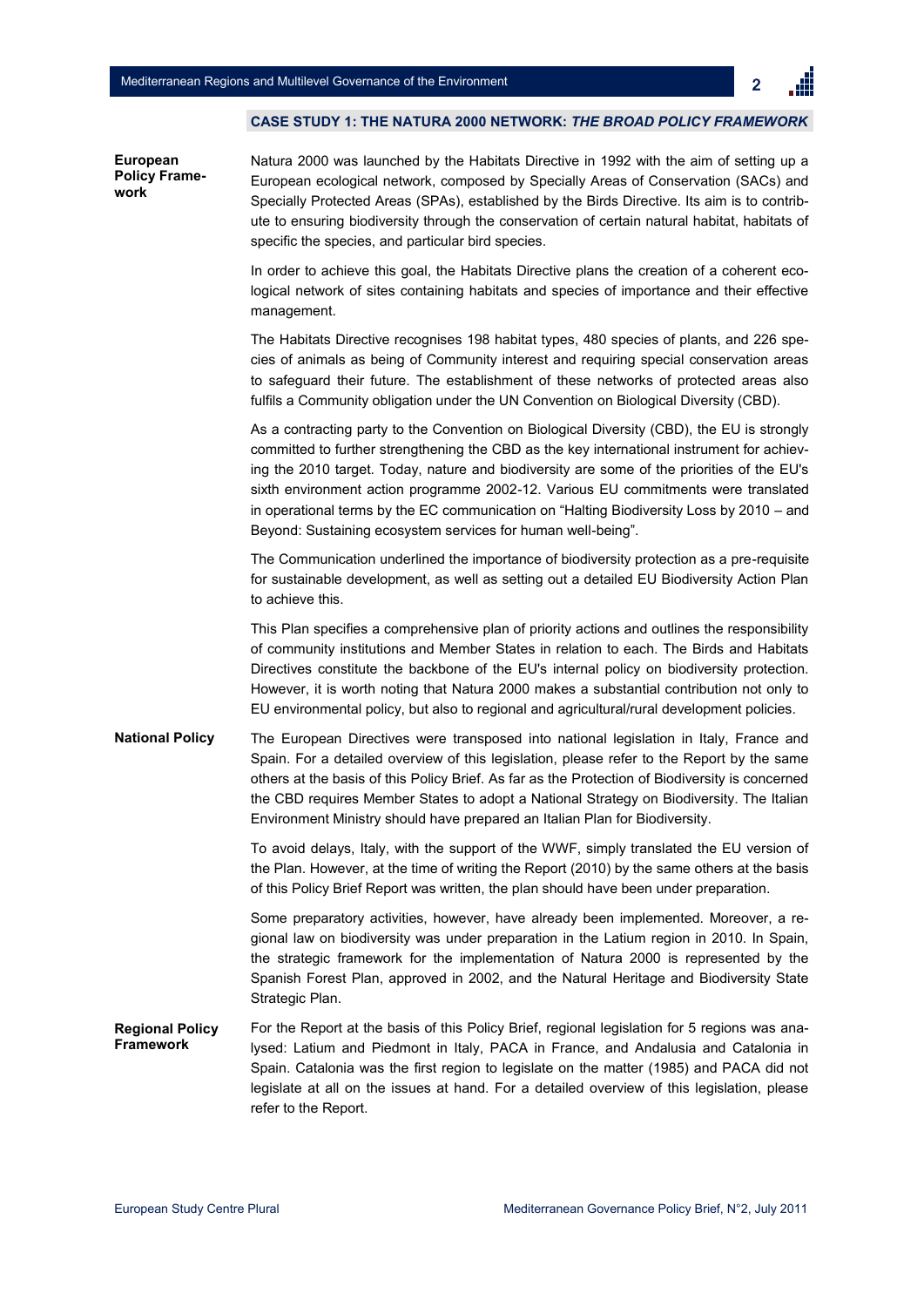2

#### **CASE STUDY 1: THE NATURA 2000 NETWORK:** *THE BROAD POLICY FRAMEWORK*

**European Policy Framework**

Natura 2000 was launched by the Habitats Directive in 1992 with the aim of setting up a European ecological network, composed by Specially Areas of Conservation (SACs) and Specially Protected Areas (SPAs), established by the Birds Directive. Its aim is to contribute to ensuring biodiversity through the conservation of certain natural habitat, habitats of specific the species, and particular bird species.

In order to achieve this goal, the Habitats Directive plans the creation of a coherent ecological network of sites containing habitats and species of importance and their effective management.

The Habitats Directive recognises 198 habitat types, 480 species of plants, and 226 species of animals as being of Community interest and requiring special conservation areas to safeguard their future. The establishment of these networks of protected areas also fulfils a Community obligation under the UN Convention on Biological Diversity (CBD).

As a contracting party to the Convention on Biological Diversity (CBD), the EU is strongly committed to further strengthening the CBD as the key international instrument for achieving the 2010 target. Today, nature and biodiversity are some of the priorities of the EU's sixth environment action programme 2002-12. Various EU commitments were translated in operational terms by the EC communication on "Halting Biodiversity Loss by 2010 – and Beyond: Sustaining ecosystem services for human well-being".

The Communication underlined the importance of biodiversity protection as a pre-requisite for sustainable development, as well as setting out a detailed EU Biodiversity Action Plan to achieve this.

This Plan specifies a comprehensive plan of priority actions and outlines the responsibility of community institutions and Member States in relation to each. The Birds and Habitats Directives constitute the backbone of the EU's internal policy on biodiversity protection. However, it is worth noting that Natura 2000 makes a substantial contribution not only to EU environmental policy, but also to regional and agricultural/rural development policies.

The European Directives were transposed into national legislation in Italy, France and Spain. For a detailed overview of this legislation, please refer to the Report by the same others at the basis of this Policy Brief. As far as the Protection of Biodiversity is concerned the CBD requires Member States to adopt a National Strategy on Biodiversity. The Italian Environment Ministry should have prepared an Italian Plan for Biodiversity. **National Policy** 

> To avoid delays, Italy, with the support of the WWF, simply translated the EU version of the Plan. However, at the time of writing the Report (2010) by the same others at the basis of this Policy Brief Report was written, the plan should have been under preparation.

> Some preparatory activities, however, have already been implemented. Moreover, a regional law on biodiversity was under preparation in the Latium region in 2010. In Spain, the strategic framework for the implementation of Natura 2000 is represented by the Spanish Forest Plan, approved in 2002, and the Natural Heritage and Biodiversity State Strategic Plan.

For the Report at the basis of this Policy Brief, regional legislation for 5 regions was analysed: Latium and Piedmont in Italy, PACA in France, and Andalusia and Catalonia in Spain. Catalonia was the first region to legislate on the matter (1985) and PACA did not legislate at all on the issues at hand. For a detailed overview of this legislation, please refer to the Report. **Regional Policy Framework**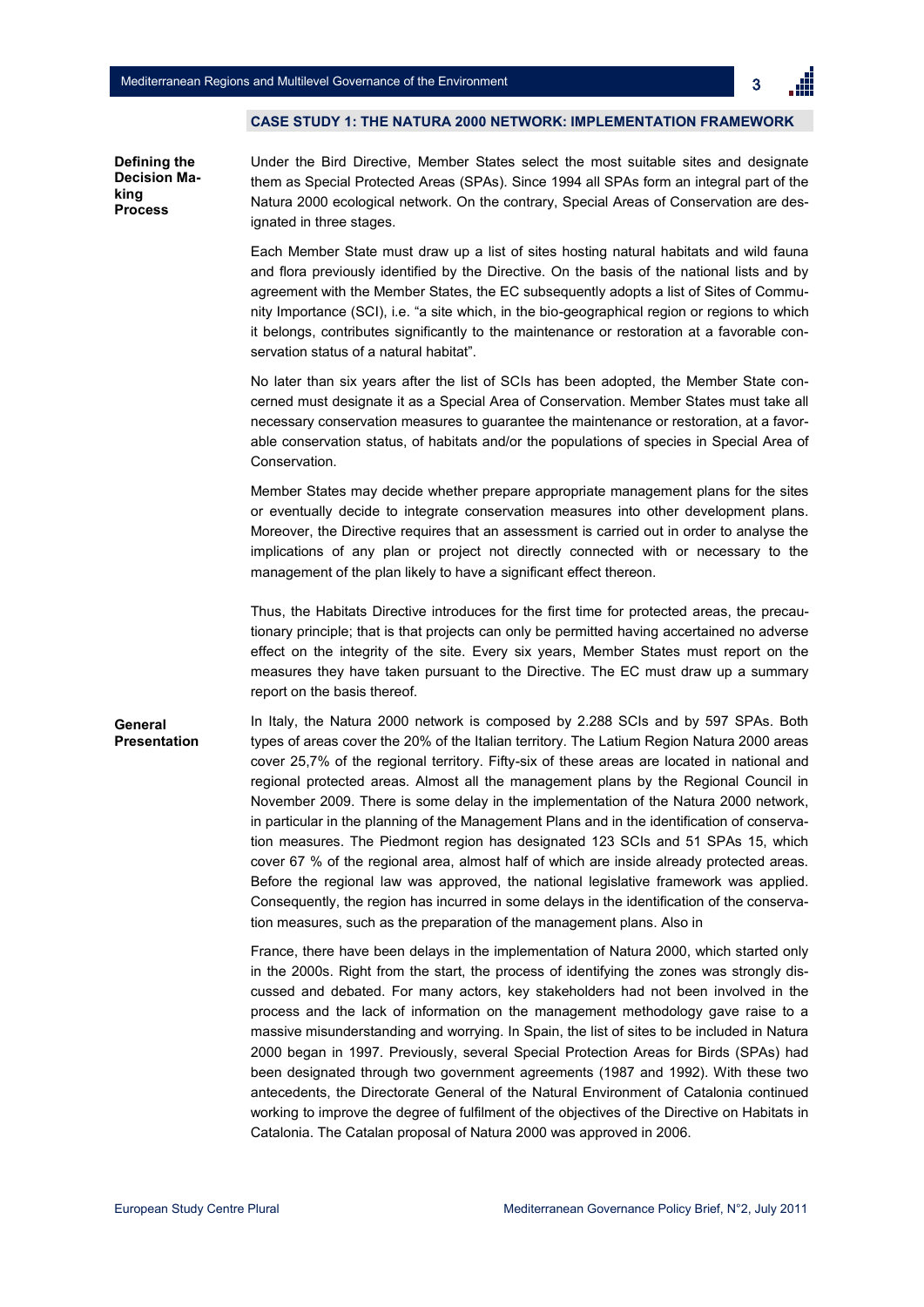3

#### **CASE STUDY 1: THE NATURA 2000 NETWORK: IMPLEMENTATION FRAMEWORK**

**Defining the Decision Making Process**

Under the Bird Directive, Member States select the most suitable sites and designate them as Special Protected Areas (SPAs). Since 1994 all SPAs form an integral part of the Natura 2000 ecological network. On the contrary, Special Areas of Conservation are designated in three stages.

Each Member State must draw up a list of sites hosting natural habitats and wild fauna and flora previously identified by the Directive. On the basis of the national lists and by agreement with the Member States, the EC subsequently adopts a list of Sites of Community Importance (SCI), i.e. "a site which, in the bio-geographical region or regions to which it belongs, contributes significantly to the maintenance or restoration at a favorable conservation status of a natural habitat".

No later than six years after the list of SCIs has been adopted, the Member State concerned must designate it as a Special Area of Conservation. Member States must take all necessary conservation measures to guarantee the maintenance or restoration, at a favorable conservation status, of habitats and/or the populations of species in Special Area of Conservation.

Member States may decide whether prepare appropriate management plans for the sites or eventually decide to integrate conservation measures into other development plans. Moreover, the Directive requires that an assessment is carried out in order to analyse the implications of any plan or project not directly connected with or necessary to the management of the plan likely to have a significant effect thereon.

Thus, the Habitats Directive introduces for the first time for protected areas, the precautionary principle; that is that projects can only be permitted having accertained no adverse effect on the integrity of the site. Every six years, Member States must report on the measures they have taken pursuant to the Directive. The EC must draw up a summary report on the basis thereof.

In Italy, the Natura 2000 network is composed by 2.288 SCIs and by 597 SPAs. Both types of areas cover the 20% of the Italian territory. The Latium Region Natura 2000 areas cover 25,7% of the regional territory. Fifty-six of these areas are located in national and regional protected areas. Almost all the management plans by the Regional Council in November 2009. There is some delay in the implementation of the Natura 2000 network, in particular in the planning of the Management Plans and in the identification of conservation measures. The Piedmont region has designated 123 SCIs and 51 SPAs 15, which cover 67 % of the regional area, almost half of which are inside already protected areas. Before the regional law was approved, the national legislative framework was applied. Consequently, the region has incurred in some delays in the identification of the conservation measures, such as the preparation of the management plans. Also in **General Presentation**

> France, there have been delays in the implementation of Natura 2000, which started only in the 2000s. Right from the start, the process of identifying the zones was strongly discussed and debated. For many actors, key stakeholders had not been involved in the process and the lack of information on the management methodology gave raise to a massive misunderstanding and worrying. In Spain, the list of sites to be included in Natura 2000 began in 1997. Previously, several Special Protection Areas for Birds (SPAs) had been designated through two government agreements (1987 and 1992). With these two antecedents, the Directorate General of the Natural Environment of Catalonia continued working to improve the degree of fulfilment of the objectives of the Directive on Habitats in Catalonia. The Catalan proposal of Natura 2000 was approved in 2006.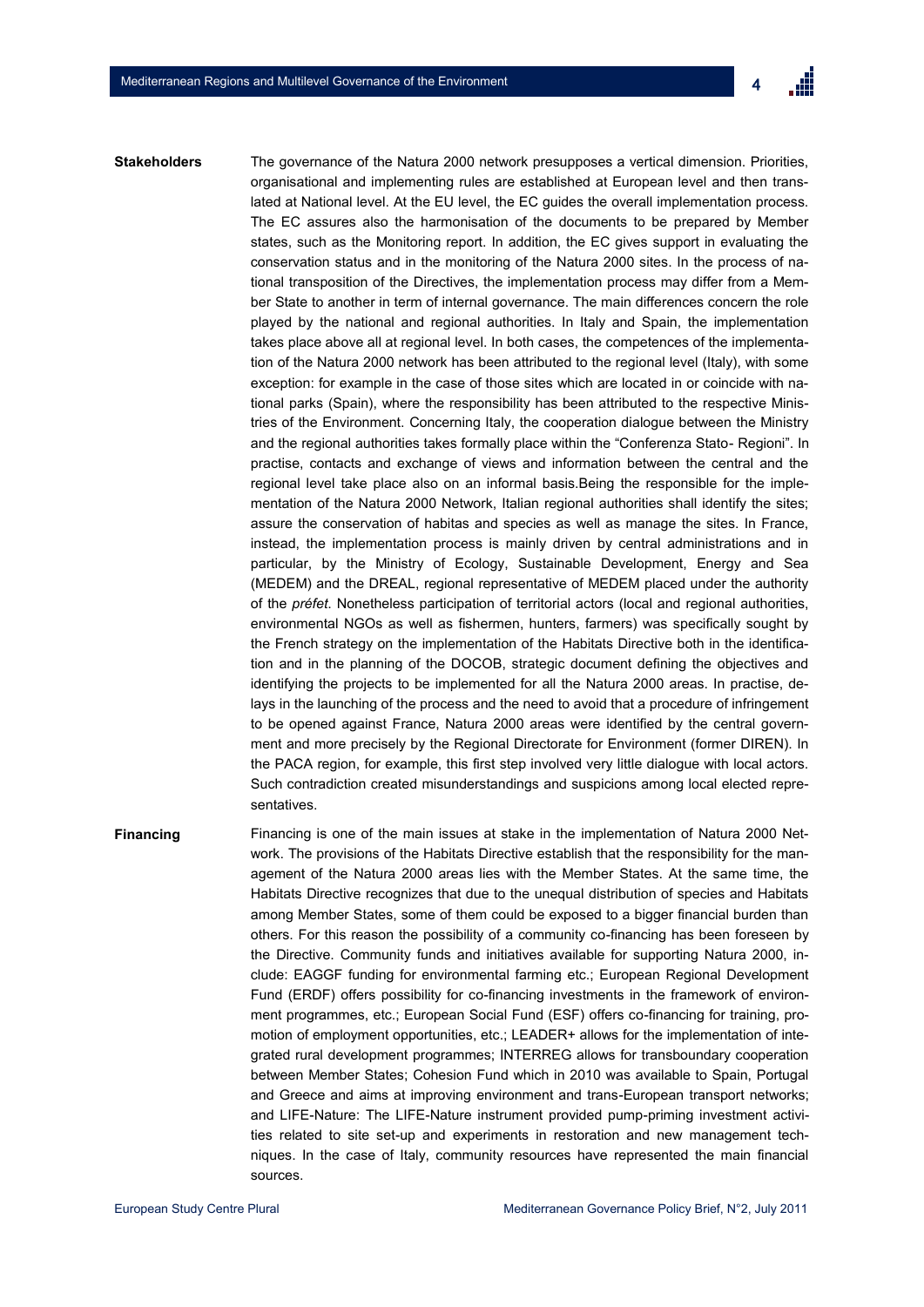The governance of the Natura 2000 network presupposes a vertical dimension. Priorities, organisational and implementing rules are established at European level and then translated at National level. At the EU level, the EC guides the overall implementation process. The EC assures also the harmonisation of the documents to be prepared by Member states, such as the Monitoring report. In addition, the EC gives support in evaluating the conservation status and in the monitoring of the Natura 2000 sites. In the process of national transposition of the Directives, the implementation process may differ from a Member State to another in term of internal governance. The main differences concern the role played by the national and regional authorities. In Italy and Spain, the implementation takes place above all at regional level. In both cases, the competences of the implementation of the Natura 2000 network has been attributed to the regional level (Italy), with some exception: for example in the case of those sites which are located in or coincide with national parks (Spain), where the responsibility has been attributed to the respective Ministries of the Environment. Concerning Italy, the cooperation dialogue between the Ministry and the regional authorities takes formally place within the "Conferenza Stato- Regioni". In practise, contacts and exchange of views and information between the central and the regional level take place also on an informal basis.Being the responsible for the implementation of the Natura 2000 Network, Italian regional authorities shall identify the sites; assure the conservation of habitas and species as well as manage the sites. In France, instead, the implementation process is mainly driven by central administrations and in particular, by the Ministry of Ecology, Sustainable Development, Energy and Sea (MEDEM) and the DREAL, regional representative of MEDEM placed under the authority of the *préfet*. Nonetheless participation of territorial actors (local and regional authorities, environmental NGOs as well as fishermen, hunters, farmers) was specifically sought by the French strategy on the implementation of the Habitats Directive both in the identification and in the planning of the DOCOB, strategic document defining the objectives and identifying the projects to be implemented for all the Natura 2000 areas. In practise, delays in the launching of the process and the need to avoid that a procedure of infringement to be opened against France, Natura 2000 areas were identified by the central government and more precisely by the Regional Directorate for Environment (former DIREN). In the PACA region, for example, this first step involved very little dialogue with local actors. Such contradiction created misunderstandings and suspicions among local elected representatives. **Stakeholders**

**Financing** Financing is one of the main issues at stake in the implementation of Natura 2000 Network. The provisions of the Habitats Directive establish that the responsibility for the management of the Natura 2000 areas lies with the Member States. At the same time, the Habitats Directive recognizes that due to the unequal distribution of species and Habitats among Member States, some of them could be exposed to a bigger financial burden than others. For this reason the possibility of a community co-financing has been foreseen by the Directive. Community funds and initiatives available for supporting Natura 2000, include: EAGGF funding for environmental farming etc.; European Regional Development Fund (ERDF) offers possibility for co-financing investments in the framework of environment programmes, etc.; European Social Fund (ESF) offers co-financing for training, promotion of employment opportunities, etc.; LEADER+ allows for the implementation of integrated rural development programmes; INTERREG allows for transboundary cooperation between Member States; Cohesion Fund which in 2010 was available to Spain, Portugal and Greece and aims at improving environment and trans-European transport networks; and LIFE-Nature: The LIFE-Nature instrument provided pump-priming investment activities related to site set-up and experiments in restoration and new management techniques. In the case of Italy, community resources have represented the main financial sources.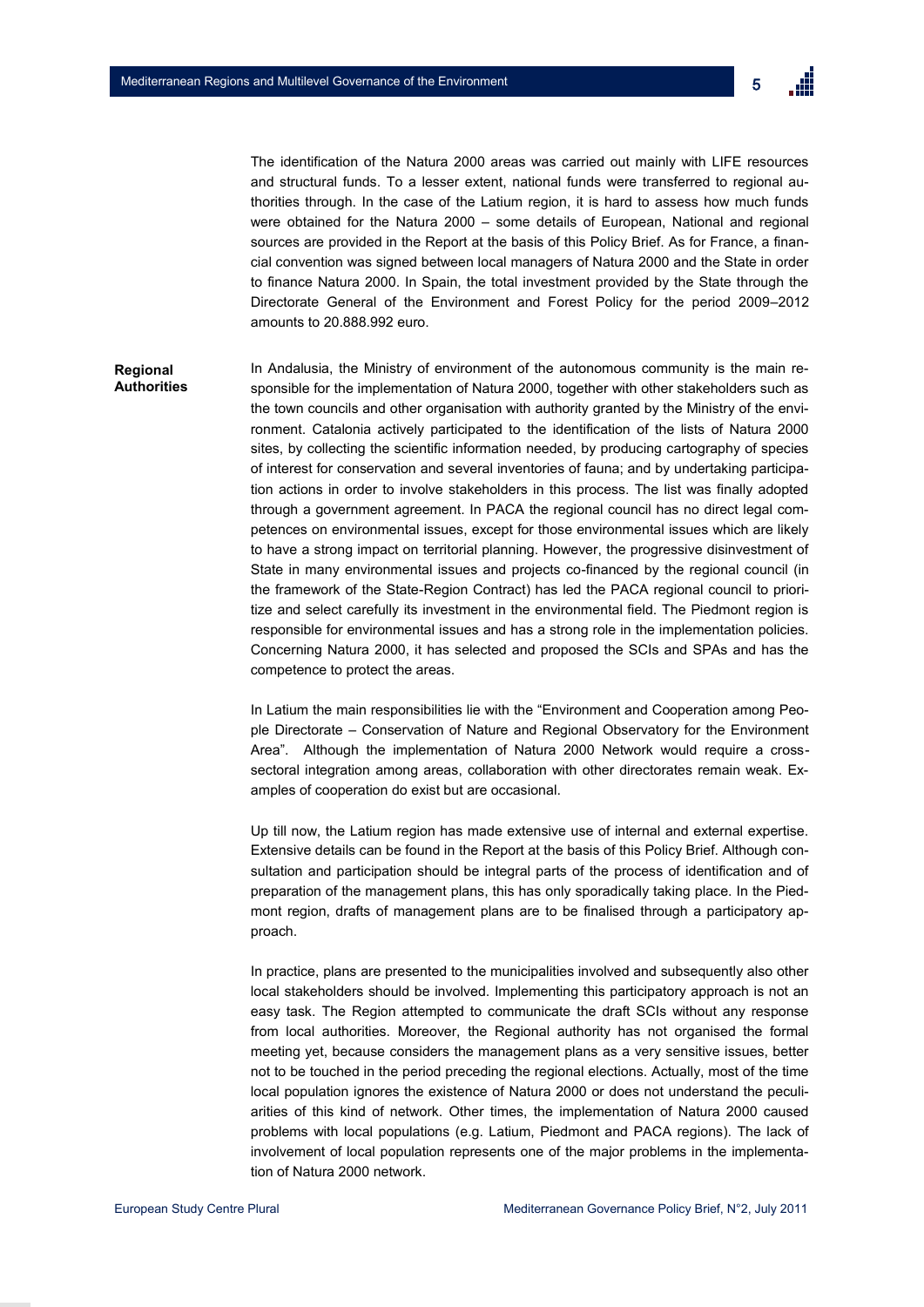

The identification of the Natura 2000 areas was carried out mainly with LIFE resources and structural funds. To a lesser extent, national funds were transferred to regional authorities through. In the case of the Latium region, it is hard to assess how much funds were obtained for the Natura 2000 – some details of European, National and regional sources are provided in the Report at the basis of this Policy Brief. As for France, a financial convention was signed between local managers of Natura 2000 and the State in order to finance Natura 2000. In Spain, the total investment provided by the State through the Directorate General of the Environment and Forest Policy for the period 2009–2012 amounts to 20.888.992 euro.

### **Regional Authorities**

In Andalusia, the Ministry of environment of the autonomous community is the main responsible for the implementation of Natura 2000, together with other stakeholders such as the town councils and other organisation with authority granted by the Ministry of the environment. Catalonia actively participated to the identification of the lists of Natura 2000 sites, by collecting the scientific information needed, by producing cartography of species of interest for conservation and several inventories of fauna; and by undertaking participation actions in order to involve stakeholders in this process. The list was finally adopted through a government agreement. In PACA the regional council has no direct legal competences on environmental issues, except for those environmental issues which are likely to have a strong impact on territorial planning. However, the progressive disinvestment of State in many environmental issues and projects co-financed by the regional council (in the framework of the State-Region Contract) has led the PACA regional council to prioritize and select carefully its investment in the environmental field. The Piedmont region is responsible for environmental issues and has a strong role in the implementation policies. Concerning Natura 2000, it has selected and proposed the SCIs and SPAs and has the competence to protect the areas.

In Latium the main responsibilities lie with the "Environment and Cooperation among People Directorate – Conservation of Nature and Regional Observatory for the Environment Area". Although the implementation of Natura 2000 Network would require a crosssectoral integration among areas, collaboration with other directorates remain weak. Examples of cooperation do exist but are occasional.

Up till now, the Latium region has made extensive use of internal and external expertise. Extensive details can be found in the Report at the basis of this Policy Brief. Although consultation and participation should be integral parts of the process of identification and of preparation of the management plans, this has only sporadically taking place. In the Piedmont region, drafts of management plans are to be finalised through a participatory approach.

In practice, plans are presented to the municipalities involved and subsequently also other local stakeholders should be involved. Implementing this participatory approach is not an easy task. The Region attempted to communicate the draft SCIs without any response from local authorities. Moreover, the Regional authority has not organised the formal meeting yet, because considers the management plans as a very sensitive issues, better not to be touched in the period preceding the regional elections. Actually, most of the time local population ignores the existence of Natura 2000 or does not understand the peculiarities of this kind of network. Other times, the implementation of Natura 2000 caused problems with local populations (e.g. Latium, Piedmont and PACA regions). The lack of involvement of local population represents one of the major problems in the implementation of Natura 2000 network.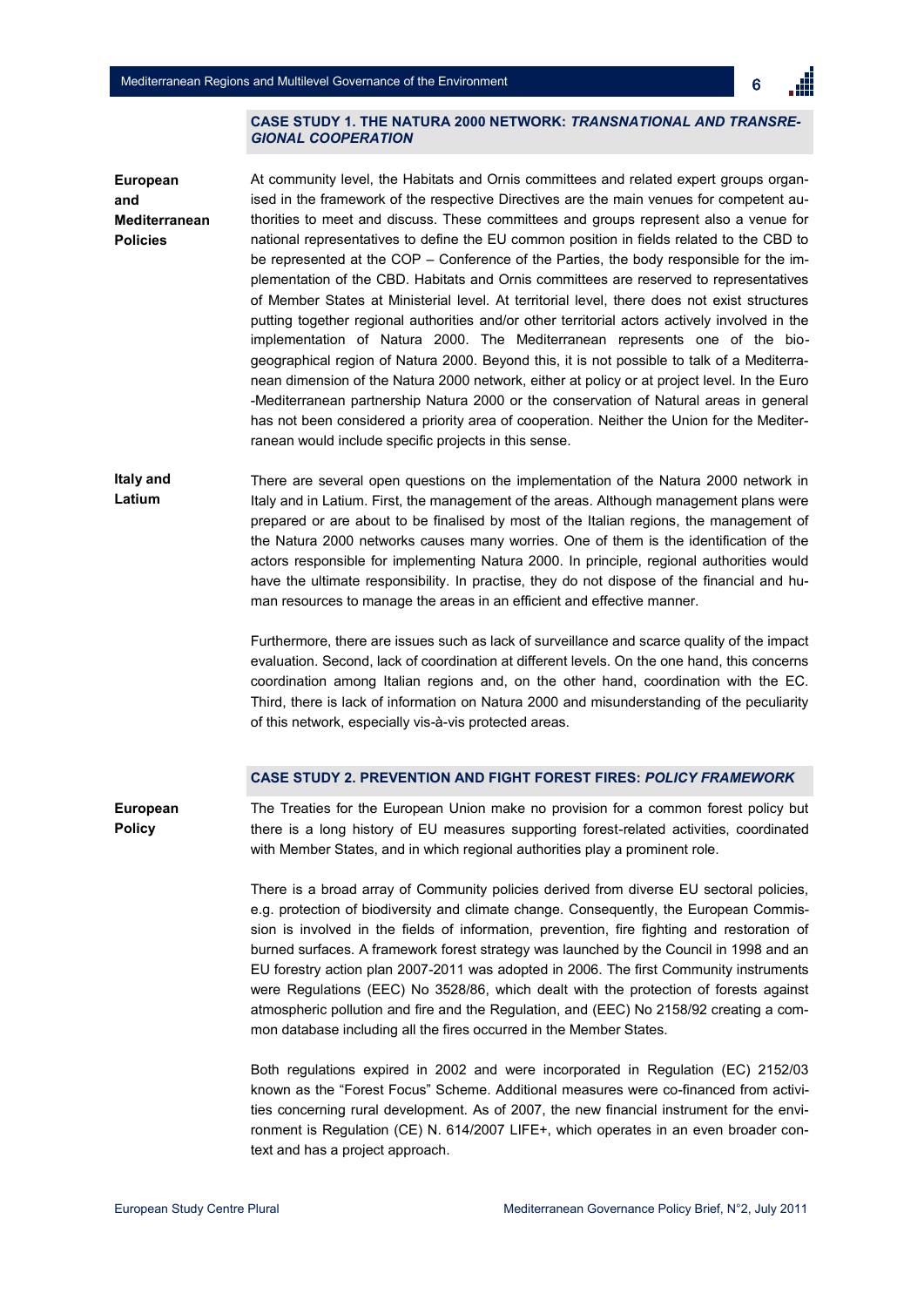

#### **CASE STUDY 1. THE NATURA 2000 NETWORK:** *TRANSNATIONAL AND TRANSRE-GIONAL COOPERATION*

At community level, the Habitats and Ornis committees and related expert groups organised in the framework of the respective Directives are the main venues for competent authorities to meet and discuss. These committees and groups represent also a venue for national representatives to define the EU common position in fields related to the CBD to be represented at the COP – Conference of the Parties, the body responsible for the implementation of the CBD. Habitats and Ornis committees are reserved to representatives of Member States at Ministerial level. At territorial level, there does not exist structures putting together regional authorities and/or other territorial actors actively involved in the implementation of Natura 2000. The Mediterranean represents one of the biogeographical region of Natura 2000. Beyond this, it is not possible to talk of a Mediterranean dimension of the Natura 2000 network, either at policy or at project level. In the Euro -Mediterranean partnership Natura 2000 or the conservation of Natural areas in general has not been considered a priority area of cooperation. Neither the Union for the Mediterranean would include specific projects in this sense. **European and Mediterranean Policies**

There are several open questions on the implementation of the Natura 2000 network in Italy and in Latium. First, the management of the areas. Although management plans were prepared or are about to be finalised by most of the Italian regions, the management of the Natura 2000 networks causes many worries. One of them is the identification of the actors responsible for implementing Natura 2000. In principle, regional authorities would have the ultimate responsibility. In practise, they do not dispose of the financial and human resources to manage the areas in an efficient and effective manner. **Italy and Latium**

> Furthermore, there are issues such as lack of surveillance and scarce quality of the impact evaluation. Second, lack of coordination at different levels. On the one hand, this concerns coordination among Italian regions and, on the other hand, coordination with the EC. Third, there is lack of information on Natura 2000 and misunderstanding of the peculiarity of this network, especially vis-à-vis protected areas.

## **CASE STUDY 2. PREVENTION AND FIGHT FOREST FIRES:** *POLICY FRAMEWORK*

The Treaties for the European Union make no provision for a common forest policy but there is a long history of EU measures supporting forest-related activities, coordinated with Member States, and in which regional authorities play a prominent role. **European Policy**

> There is a broad array of Community policies derived from diverse EU sectoral policies, e.g. protection of biodiversity and climate change. Consequently, the European Commission is involved in the fields of information, prevention, fire fighting and restoration of burned surfaces. A framework forest strategy was launched by the Council in 1998 and an EU forestry action plan 2007-2011 was adopted in 2006. The first Community instruments were Regulations (EEC) No 3528/86, which dealt with the protection of forests against atmospheric pollution and fire and the Regulation, and (EEC) No 2158/92 creating a common database including all the fires occurred in the Member States.

> Both regulations expired in 2002 and were incorporated in Regulation (EC) 2152/03 known as the "Forest Focus" Scheme. Additional measures were co-financed from activities concerning rural development. As of 2007, the new financial instrument for the environment is Regulation (CE) N. 614/2007 LIFE+, which operates in an even broader context and has a project approach.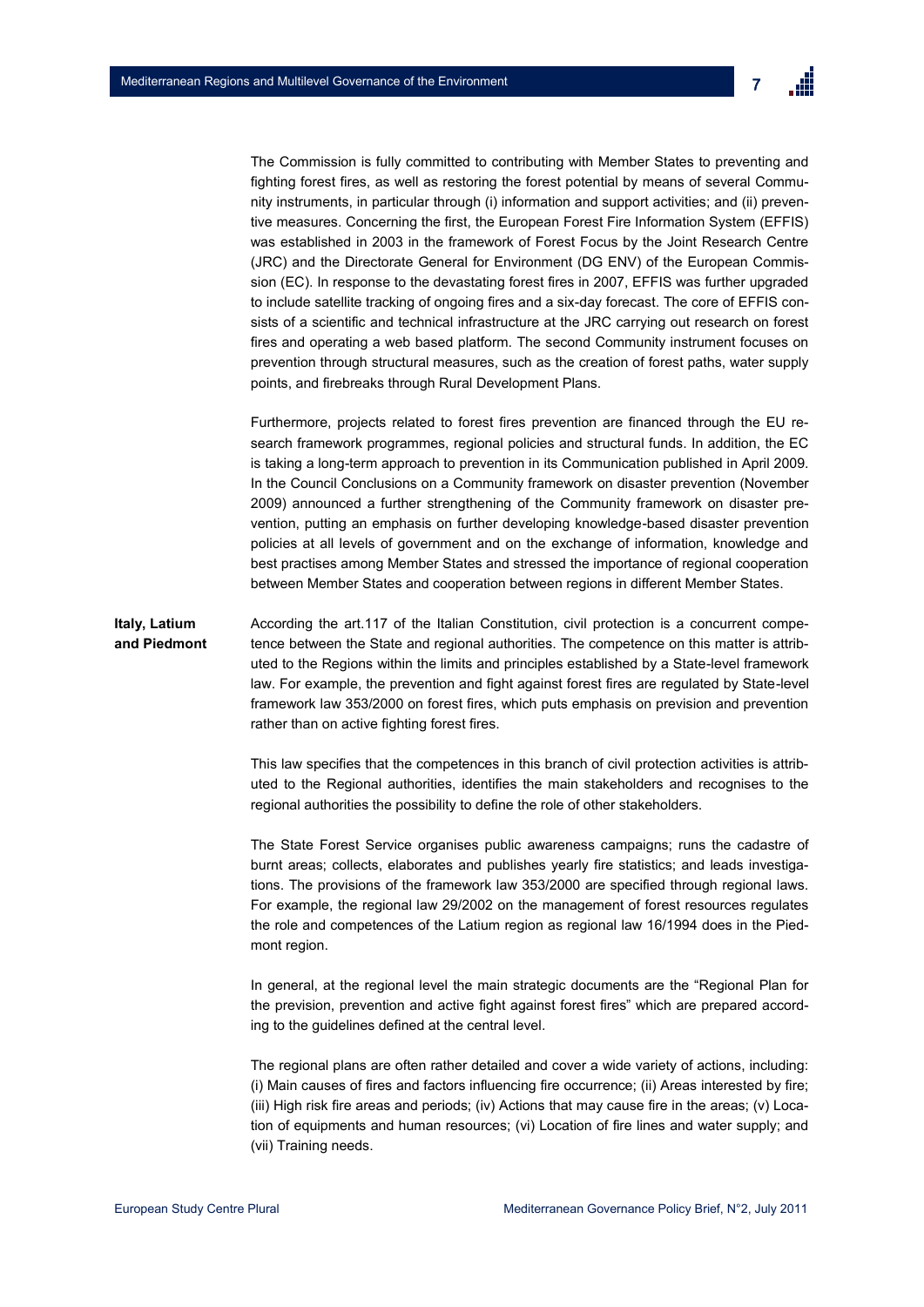

The Commission is fully committed to contributing with Member States to preventing and fighting forest fires, as well as restoring the forest potential by means of several Community instruments, in particular through (i) information and support activities; and (ii) preventive measures. Concerning the first, the European Forest Fire Information System (EFFIS) was established in 2003 in the framework of Forest Focus by the Joint Research Centre (JRC) and the Directorate General for Environment (DG ENV) of the European Commission (EC). In response to the devastating forest fires in 2007, EFFIS was further upgraded to include satellite tracking of ongoing fires and a six-day forecast. The core of EFFIS consists of a scientific and technical infrastructure at the JRC carrying out research on forest fires and operating a web based platform. The second Community instrument focuses on prevention through structural measures, such as the creation of forest paths, water supply points, and firebreaks through Rural Development Plans.

Furthermore, projects related to forest fires prevention are financed through the EU research framework programmes, regional policies and structural funds. In addition, the EC is taking a long-term approach to prevention in its Communication published in April 2009. In the Council Conclusions on a Community framework on disaster prevention (November 2009) announced a further strengthening of the Community framework on disaster prevention, putting an emphasis on further developing knowledge-based disaster prevention policies at all levels of government and on the exchange of information, knowledge and best practises among Member States and stressed the importance of regional cooperation between Member States and cooperation between regions in different Member States.

**Italy, Latium and Piedmont** According the art.117 of the Italian Constitution, civil protection is a concurrent competence between the State and regional authorities. The competence on this matter is attributed to the Regions within the limits and principles established by a State-level framework law. For example, the prevention and fight against forest fires are regulated by State-level framework law 353/2000 on forest fires, which puts emphasis on prevision and prevention rather than on active fighting forest fires.

> This law specifies that the competences in this branch of civil protection activities is attributed to the Regional authorities, identifies the main stakeholders and recognises to the regional authorities the possibility to define the role of other stakeholders.

> The State Forest Service organises public awareness campaigns; runs the cadastre of burnt areas; collects, elaborates and publishes yearly fire statistics; and leads investigations. The provisions of the framework law 353/2000 are specified through regional laws. For example, the regional law 29/2002 on the management of forest resources regulates the role and competences of the Latium region as regional law 16/1994 does in the Piedmont region.

> In general, at the regional level the main strategic documents are the "Regional Plan for the prevision, prevention and active fight against forest fires" which are prepared according to the guidelines defined at the central level.

> The regional plans are often rather detailed and cover a wide variety of actions, including: (i) Main causes of fires and factors influencing fire occurrence; (ii) Areas interested by fire; (iii) High risk fire areas and periods; (iv) Actions that may cause fire in the areas; (v) Location of equipments and human resources; (vi) Location of fire lines and water supply; and (vii) Training needs.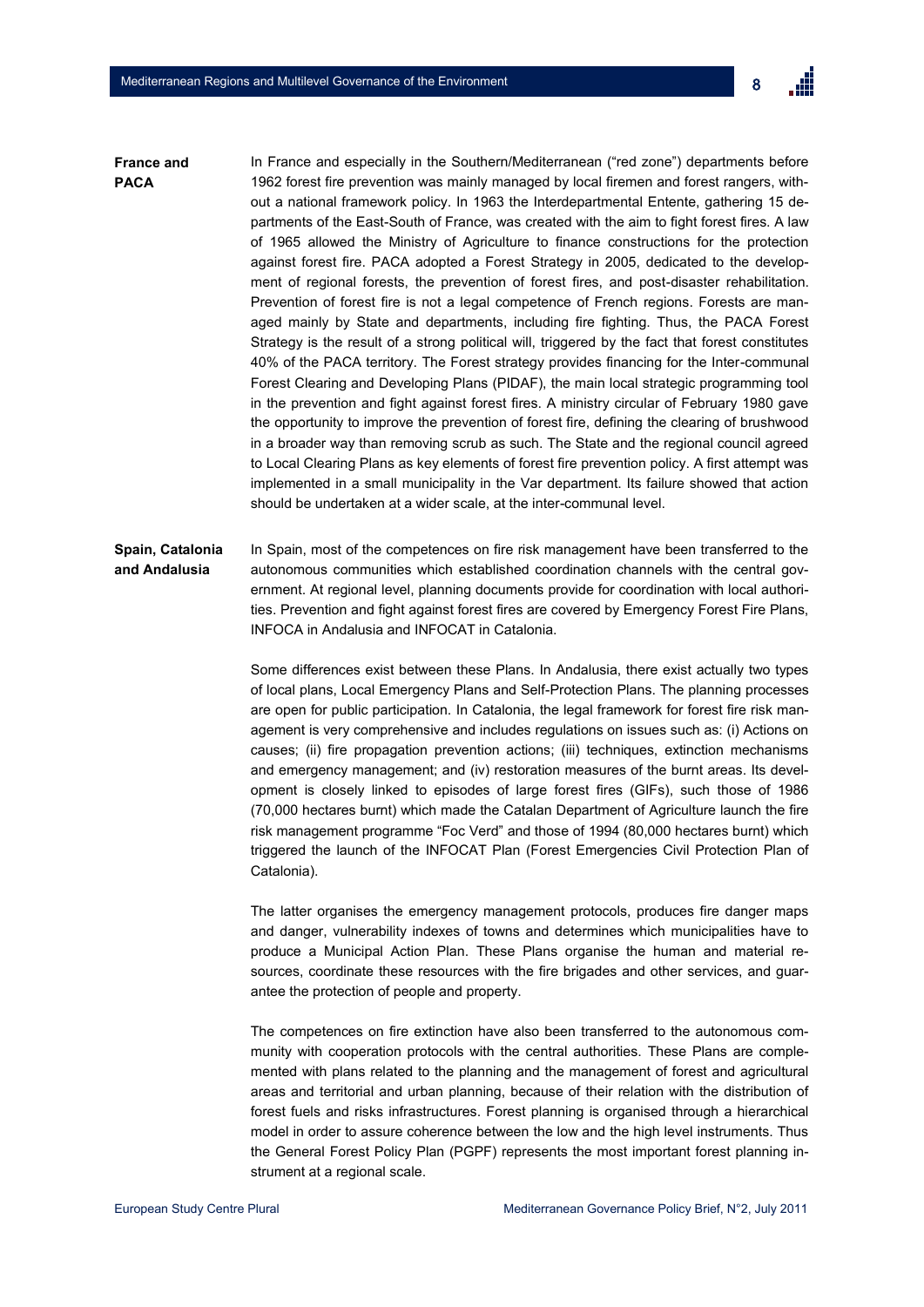

In France and especially in the Southern/Mediterranean ("red zone") departments before 1962 forest fire prevention was mainly managed by local firemen and forest rangers, without a national framework policy. In 1963 the Interdepartmental Entente, gathering 15 departments of the East-South of France, was created with the aim to fight forest fires. A law of 1965 allowed the Ministry of Agriculture to finance constructions for the protection against forest fire. PACA adopted a Forest Strategy in 2005, dedicated to the development of regional forests, the prevention of forest fires, and post-disaster rehabilitation. Prevention of forest fire is not a legal competence of French regions. Forests are managed mainly by State and departments, including fire fighting. Thus, the PACA Forest Strategy is the result of a strong political will, triggered by the fact that forest constitutes 40% of the PACA territory. The Forest strategy provides financing for the Inter-communal Forest Clearing and Developing Plans (PIDAF), the main local strategic programming tool in the prevention and fight against forest fires. A ministry circular of February 1980 gave the opportunity to improve the prevention of forest fire, defining the clearing of brushwood in a broader way than removing scrub as such. The State and the regional council agreed to Local Clearing Plans as key elements of forest fire prevention policy. A first attempt was implemented in a small municipality in the Var department. Its failure showed that action should be undertaken at a wider scale, at the inter-communal level. **France and PACA**

#### In Spain, most of the competences on fire risk management have been transferred to the autonomous communities which established coordination channels with the central government. At regional level, planning documents provide for coordination with local authorities. Prevention and fight against forest fires are covered by Emergency Forest Fire Plans, INFOCA in Andalusia and INFOCAT in Catalonia. **Spain, Catalonia and Andalusia**

Some differences exist between these Plans. In Andalusia, there exist actually two types of local plans, Local Emergency Plans and Self-Protection Plans. The planning processes are open for public participation. In Catalonia, the legal framework for forest fire risk management is very comprehensive and includes regulations on issues such as: (i) Actions on causes; (ii) fire propagation prevention actions; (iii) techniques, extinction mechanisms and emergency management; and (iv) restoration measures of the burnt areas. Its development is closely linked to episodes of large forest fires (GIFs), such those of 1986 (70,000 hectares burnt) which made the Catalan Department of Agriculture launch the fire risk management programme "Foc Verd" and those of 1994 (80,000 hectares burnt) which triggered the launch of the INFOCAT Plan (Forest Emergencies Civil Protection Plan of Catalonia).

The latter organises the emergency management protocols, produces fire danger maps and danger, vulnerability indexes of towns and determines which municipalities have to produce a Municipal Action Plan. These Plans organise the human and material resources, coordinate these resources with the fire brigades and other services, and guarantee the protection of people and property.

The competences on fire extinction have also been transferred to the autonomous community with cooperation protocols with the central authorities. These Plans are complemented with plans related to the planning and the management of forest and agricultural areas and territorial and urban planning, because of their relation with the distribution of forest fuels and risks infrastructures. Forest planning is organised through a hierarchical model in order to assure coherence between the low and the high level instruments. Thus the General Forest Policy Plan (PGPF) represents the most important forest planning instrument at a regional scale.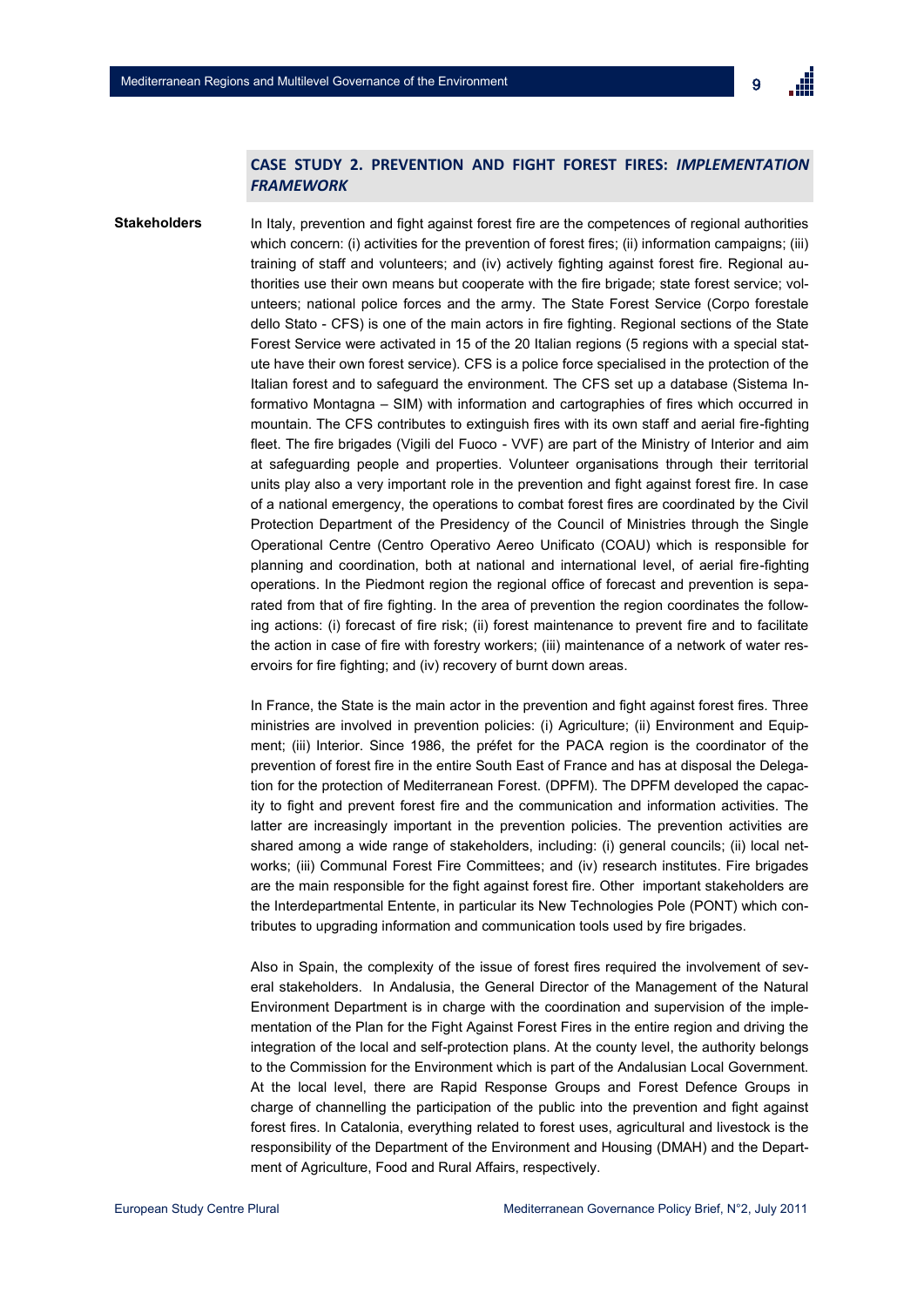## **CASE STUDY 2. PREVENTION AND FIGHT FOREST FIRES:** *IMPLEMENTATION FRAMEWORK*

**Stakeholders**

In Italy, prevention and fight against forest fire are the competences of regional authorities which concern: (i) activities for the prevention of forest fires; (ii) information campaigns; (iii) training of staff and volunteers; and (iv) actively fighting against forest fire. Regional authorities use their own means but cooperate with the fire brigade; state forest service; volunteers; national police forces and the army. The State Forest Service (Corpo forestale dello Stato - CFS) is one of the main actors in fire fighting. Regional sections of the State Forest Service were activated in 15 of the 20 Italian regions (5 regions with a special statute have their own forest service). CFS is a police force specialised in the protection of the Italian forest and to safeguard the environment. The CFS set up a database (Sistema Informativo Montagna – SIM) with information and cartographies of fires which occurred in mountain. The CFS contributes to extinguish fires with its own staff and aerial fire-fighting fleet. The fire brigades (Vigili del Fuoco - VVF) are part of the Ministry of Interior and aim at safeguarding people and properties. Volunteer organisations through their territorial units play also a very important role in the prevention and fight against forest fire. In case of a national emergency, the operations to combat forest fires are coordinated by the Civil Protection Department of the Presidency of the Council of Ministries through the Single Operational Centre (Centro Operativo Aereo Unificato (COAU) which is responsible for planning and coordination, both at national and international level, of aerial fire-fighting operations. In the Piedmont region the regional office of forecast and prevention is separated from that of fire fighting. In the area of prevention the region coordinates the following actions: (i) forecast of fire risk; (ii) forest maintenance to prevent fire and to facilitate the action in case of fire with forestry workers; (iii) maintenance of a network of water reservoirs for fire fighting; and (iv) recovery of burnt down areas.

In France, the State is the main actor in the prevention and fight against forest fires. Three ministries are involved in prevention policies: (i) Agriculture; (ii) Environment and Equipment; (iii) Interior. Since 1986, the préfet for the PACA region is the coordinator of the prevention of forest fire in the entire South East of France and has at disposal the Delegation for the protection of Mediterranean Forest. (DPFM). The DPFM developed the capacity to fight and prevent forest fire and the communication and information activities. The latter are increasingly important in the prevention policies. The prevention activities are shared among a wide range of stakeholders, including: (i) general councils; (ii) local networks; (iii) Communal Forest Fire Committees; and (iv) research institutes. Fire brigades are the main responsible for the fight against forest fire. Other important stakeholders are the Interdepartmental Entente, in particular its New Technologies Pole (PONT) which contributes to upgrading information and communication tools used by fire brigades.

Also in Spain, the complexity of the issue of forest fires required the involvement of several stakeholders. In Andalusia, the General Director of the Management of the Natural Environment Department is in charge with the coordination and supervision of the implementation of the Plan for the Fight Against Forest Fires in the entire region and driving the integration of the local and self-protection plans. At the county level, the authority belongs to the Commission for the Environment which is part of the Andalusian Local Government. At the local level, there are Rapid Response Groups and Forest Defence Groups in charge of channelling the participation of the public into the prevention and fight against forest fires. In Catalonia, everything related to forest uses, agricultural and livestock is the responsibility of the Department of the Environment and Housing (DMAH) and the Department of Agriculture, Food and Rural Affairs, respectively.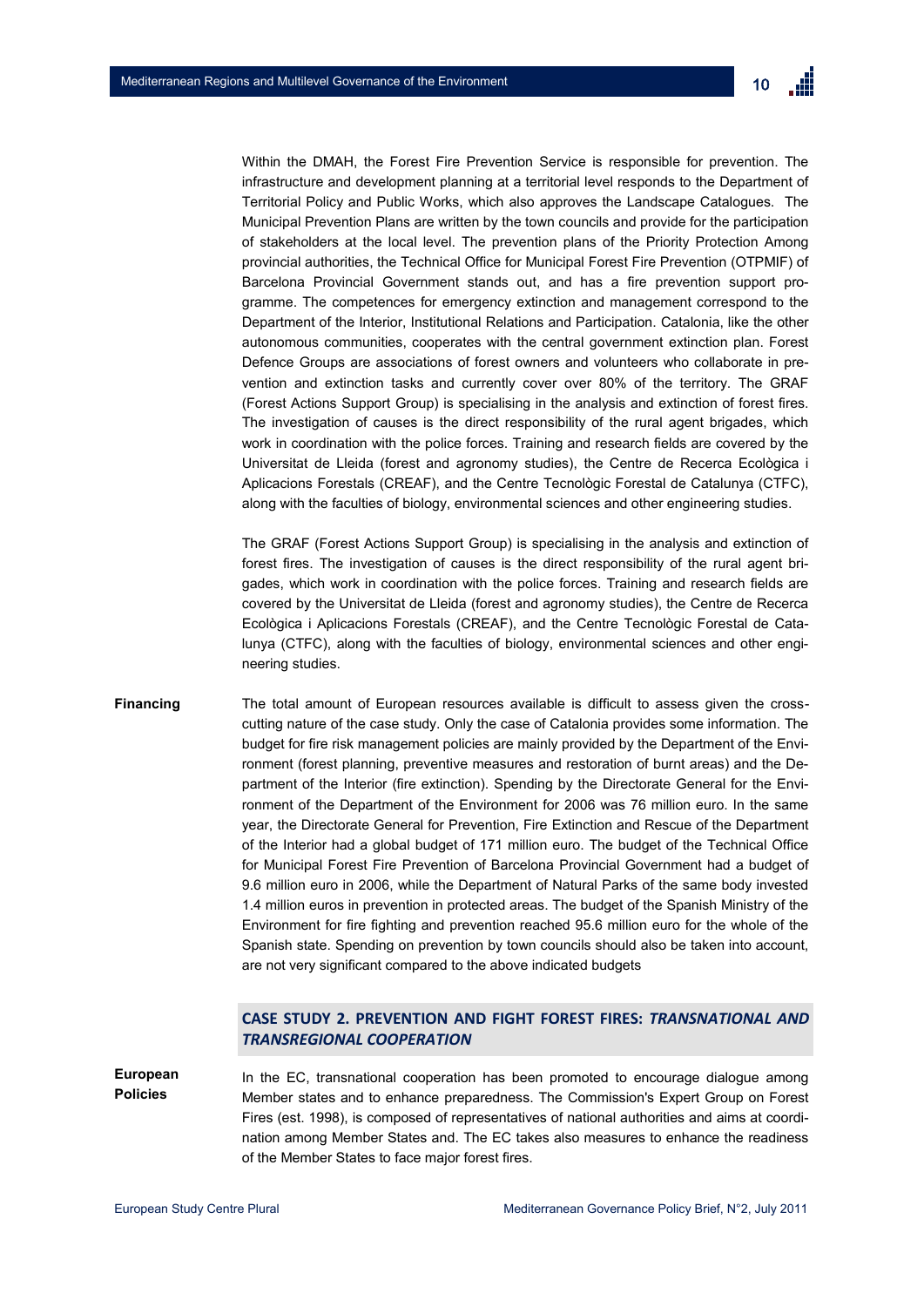

Within the DMAH, the Forest Fire Prevention Service is responsible for prevention. The infrastructure and development planning at a territorial level responds to the Department of Territorial Policy and Public Works, which also approves the Landscape Catalogues. The Municipal Prevention Plans are written by the town councils and provide for the participation of stakeholders at the local level. The prevention plans of the Priority Protection Among provincial authorities, the Technical Office for Municipal Forest Fire Prevention (OTPMIF) of Barcelona Provincial Government stands out, and has a fire prevention support programme. The competences for emergency extinction and management correspond to the Department of the Interior, Institutional Relations and Participation. Catalonia, like the other autonomous communities, cooperates with the central government extinction plan. Forest Defence Groups are associations of forest owners and volunteers who collaborate in prevention and extinction tasks and currently cover over 80% of the territory. The GRAF (Forest Actions Support Group) is specialising in the analysis and extinction of forest fires. The investigation of causes is the direct responsibility of the rural agent brigades, which work in coordination with the police forces. Training and research fields are covered by the Universitat de Lleida (forest and agronomy studies), the Centre de Recerca Ecològica i Aplicacions Forestals (CREAF), and the Centre Tecnològic Forestal de Catalunya (CTFC), along with the faculties of biology, environmental sciences and other engineering studies.

The GRAF (Forest Actions Support Group) is specialising in the analysis and extinction of forest fires. The investigation of causes is the direct responsibility of the rural agent brigades, which work in coordination with the police forces. Training and research fields are covered by the Universitat de Lleida (forest and agronomy studies), the Centre de Recerca Ecològica i Aplicacions Forestals (CREAF), and the Centre Tecnològic Forestal de Catalunya (CTFC), along with the faculties of biology, environmental sciences and other engineering studies.

The total amount of European resources available is difficult to assess given the crosscutting nature of the case study. Only the case of Catalonia provides some information. The budget for fire risk management policies are mainly provided by the Department of the Environment (forest planning, preventive measures and restoration of burnt areas) and the Department of the Interior (fire extinction). Spending by the Directorate General for the Environment of the Department of the Environment for 2006 was 76 million euro. In the same year, the Directorate General for Prevention, Fire Extinction and Rescue of the Department of the Interior had a global budget of 171 million euro. The budget of the Technical Office for Municipal Forest Fire Prevention of Barcelona Provincial Government had a budget of 9.6 million euro in 2006, while the Department of Natural Parks of the same body invested 1.4 million euros in prevention in protected areas. The budget of the Spanish Ministry of the Environment for fire fighting and prevention reached 95.6 million euro for the whole of the Spanish state. Spending on prevention by town councils should also be taken into account, are not very significant compared to the above indicated budgets **Financing**

## **CASE STUDY 2. PREVENTION AND FIGHT FOREST FIRES:** *TRANSNATIONAL AND TRANSREGIONAL COOPERATION*

**European Policies** In the EC, transnational cooperation has been promoted to encourage dialogue among Member states and to enhance preparedness. The Commission's Expert Group on Forest Fires (est. 1998), is composed of representatives of national authorities and aims at coordination among Member States and. The EC takes also measures to enhance the readiness of the Member States to face major forest fires.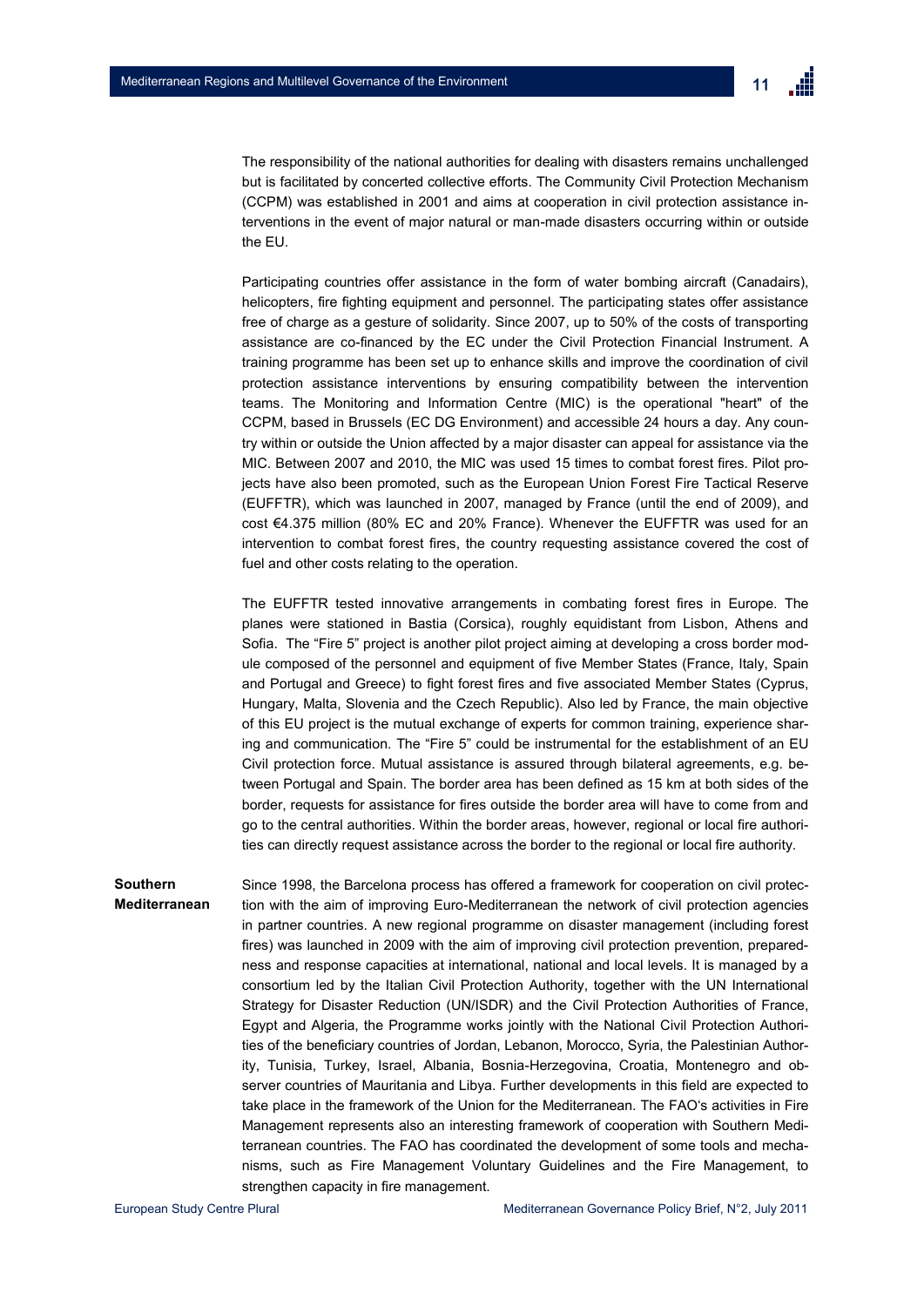

The responsibility of the national authorities for dealing with disasters remains unchallenged but is facilitated by concerted collective efforts. The Community Civil Protection Mechanism (CCPM) was established in 2001 and aims at cooperation in civil protection assistance interventions in the event of major natural or man-made disasters occurring within or outside the EU.

Participating countries offer assistance in the form of water bombing aircraft (Canadairs), helicopters, fire fighting equipment and personnel. The participating states offer assistance free of charge as a gesture of solidarity. Since 2007, up to 50% of the costs of transporting assistance are co-financed by the EC under the Civil Protection Financial Instrument. A training programme has been set up to enhance skills and improve the coordination of civil protection assistance interventions by ensuring compatibility between the intervention teams. The Monitoring and Information Centre (MIC) is the operational "heart" of the CCPM, based in Brussels (EC DG Environment) and accessible 24 hours a day. Any country within or outside the Union affected by a major disaster can appeal for assistance via the MIC. Between 2007 and 2010, the MIC was used 15 times to combat forest fires. Pilot projects have also been promoted, such as the European Union Forest Fire Tactical Reserve (EUFFTR), which was launched in 2007, managed by France (until the end of 2009), and cost €4.375 million (80% EC and 20% France). Whenever the EUFFTR was used for an intervention to combat forest fires, the country requesting assistance covered the cost of fuel and other costs relating to the operation.

The EUFFTR tested innovative arrangements in combating forest fires in Europe. The planes were stationed in Bastia (Corsica), roughly equidistant from Lisbon, Athens and Sofia. The "Fire 5" project is another pilot project aiming at developing a cross border module composed of the personnel and equipment of five Member States (France, Italy, Spain and Portugal and Greece) to fight forest fires and five associated Member States (Cyprus, Hungary, Malta, Slovenia and the Czech Republic). Also led by France, the main objective of this EU project is the mutual exchange of experts for common training, experience sharing and communication. The "Fire 5" could be instrumental for the establishment of an EU Civil protection force. Mutual assistance is assured through bilateral agreements, e.g. between Portugal and Spain. The border area has been defined as 15 km at both sides of the border, requests for assistance for fires outside the border area will have to come from and go to the central authorities. Within the border areas, however, regional or local fire authorities can directly request assistance across the border to the regional or local fire authority.

Since 1998, the Barcelona process has offered a framework for cooperation on civil protection with the aim of improving Euro-Mediterranean the network of civil protection agencies in partner countries. A new regional programme on disaster management (including forest fires) was launched in 2009 with the aim of improving civil protection prevention, preparedness and response capacities at international, national and local levels. It is managed by a consortium led by the Italian Civil Protection Authority, together with the UN International Strategy for Disaster Reduction (UN/ISDR) and the Civil Protection Authorities of France, Egypt and Algeria, the Programme works jointly with the National Civil Protection Authorities of the beneficiary countries of Jordan, Lebanon, Morocco, Syria, the Palestinian Authority, Tunisia, Turkey, Israel, Albania, Bosnia-Herzegovina, Croatia, Montenegro and observer countries of Mauritania and Libya. Further developments in this field are expected to take place in the framework of the Union for the Mediterranean. The FAO"s activities in Fire Management represents also an interesting framework of cooperation with Southern Mediterranean countries. The FAO has coordinated the development of some tools and mechanisms, such as Fire Management Voluntary Guidelines and the Fire Management, to strengthen capacity in fire management. **Southern Mediterranean**